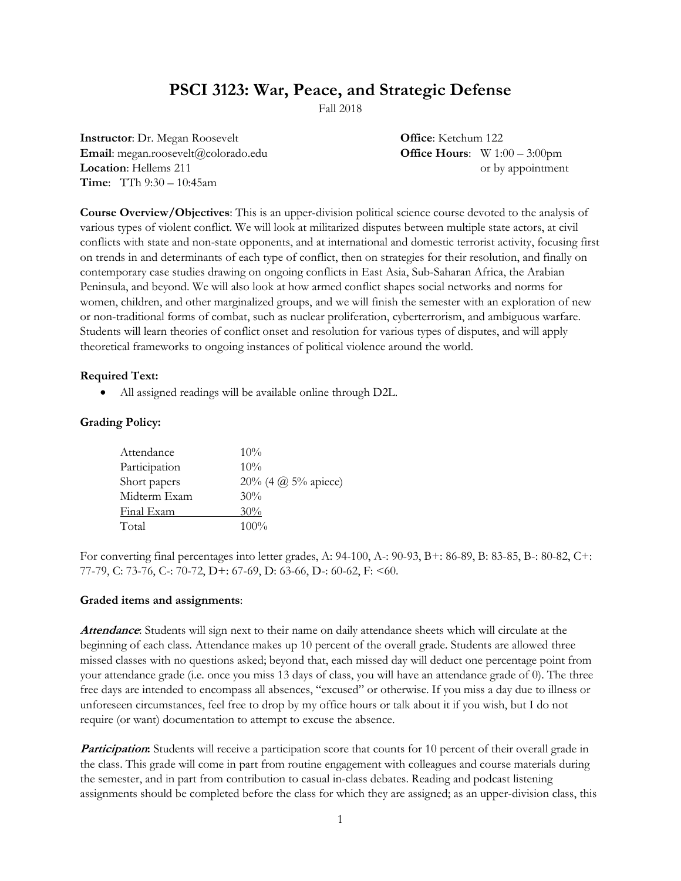# **PSCI 3123: War, Peace, and Strategic Defense**

Fall 2018

**Instructor**: Dr. Megan Roosevelt **Office**: Ketchum 122 **Email**: megan.roosevelt@colorado.edu **Office Hours**: W 1:00 – 3:00pm **Location**: Hellems 211 or by appointment **Time**: TTh 9:30 – 10:45am

**Course Overview/Objectives**: This is an upper-division political science course devoted to the analysis of various types of violent conflict. We will look at militarized disputes between multiple state actors, at civil conflicts with state and non-state opponents, and at international and domestic terrorist activity, focusing first on trends in and determinants of each type of conflict, then on strategies for their resolution, and finally on contemporary case studies drawing on ongoing conflicts in East Asia, Sub-Saharan Africa, the Arabian Peninsula, and beyond. We will also look at how armed conflict shapes social networks and norms for women, children, and other marginalized groups, and we will finish the semester with an exploration of new or non-traditional forms of combat, such as nuclear proliferation, cyberterrorism, and ambiguous warfare. Students will learn theories of conflict onset and resolution for various types of disputes, and will apply theoretical frameworks to ongoing instances of political violence around the world.

#### **Required Text:**

All assigned readings will be available online through D2L.

#### **Grading Policy:**

| Attendance    | $10\%$                |
|---------------|-----------------------|
| Participation | $10\%$                |
| Short papers  | 20% (4 $@$ 5% apiece) |
| Midterm Exam  | 30%                   |
| Final Exam    | 30%                   |
| Total         | $100\%$               |

For converting final percentages into letter grades, A: 94-100, A-: 90-93, B+: 86-89, B: 83-85, B-: 80-82, C+: 77-79, C: 73-76, C-: 70-72, D+: 67-69, D: 63-66, D-: 60-62, F: <60.

#### **Graded items and assignments**:

**Attendance**: Students will sign next to their name on daily attendance sheets which will circulate at the beginning of each class. Attendance makes up 10 percent of the overall grade. Students are allowed three missed classes with no questions asked; beyond that, each missed day will deduct one percentage point from your attendance grade (i.e. once you miss 13 days of class, you will have an attendance grade of 0). The three free days are intended to encompass all absences, "excused" or otherwise. If you miss a day due to illness or unforeseen circumstances, feel free to drop by my office hours or talk about it if you wish, but I do not require (or want) documentation to attempt to excuse the absence.

**Participation:** Students will receive a participation score that counts for 10 percent of their overall grade in the class. This grade will come in part from routine engagement with colleagues and course materials during the semester, and in part from contribution to casual in-class debates. Reading and podcast listening assignments should be completed before the class for which they are assigned; as an upper-division class, this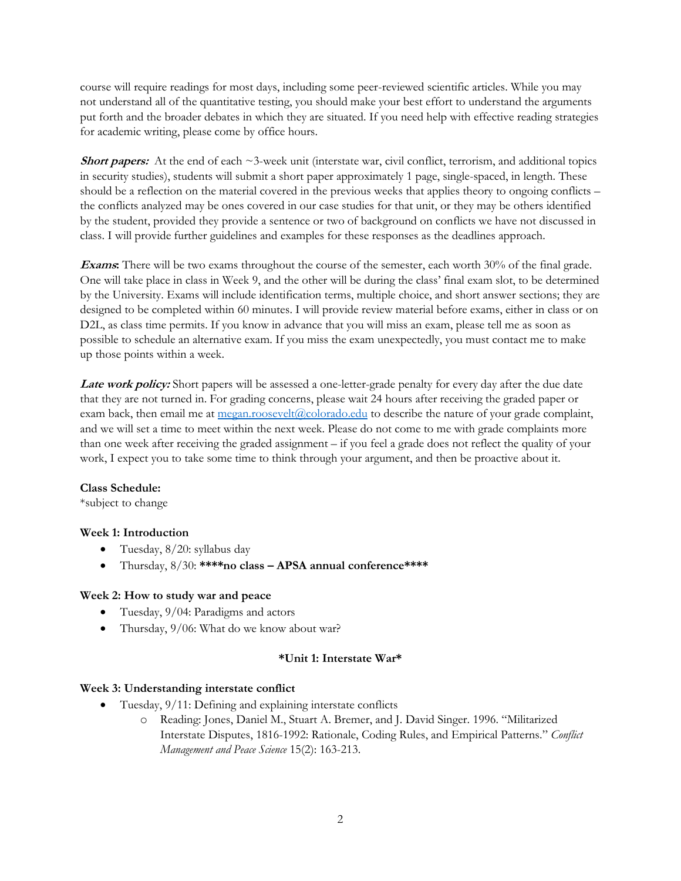course will require readings for most days, including some peer-reviewed scientific articles. While you may not understand all of the quantitative testing, you should make your best effort to understand the arguments put forth and the broader debates in which they are situated. If you need help with effective reading strategies for academic writing, please come by office hours.

**Short papers:** At the end of each  $\sim$ 3-week unit (interstate war, civil conflict, terrorism, and additional topics in security studies), students will submit a short paper approximately 1 page, single-spaced, in length. These should be a reflection on the material covered in the previous weeks that applies theory to ongoing conflicts – the conflicts analyzed may be ones covered in our case studies for that unit, or they may be others identified by the student, provided they provide a sentence or two of background on conflicts we have not discussed in class. I will provide further guidelines and examples for these responses as the deadlines approach.

**Exams:** There will be two exams throughout the course of the semester, each worth 30% of the final grade. One will take place in class in Week 9, and the other will be during the class' final exam slot, to be determined by the University. Exams will include identification terms, multiple choice, and short answer sections; they are designed to be completed within 60 minutes. I will provide review material before exams, either in class or on D2L, as class time permits. If you know in advance that you will miss an exam, please tell me as soon as possible to schedule an alternative exam. If you miss the exam unexpectedly, you must contact me to make up those points within a week.

Late work policy: Short papers will be assessed a one-letter-grade penalty for every day after the due date that they are not turned in. For grading concerns, please wait 24 hours after receiving the graded paper or exam back, then email me at  $\text{mean}.\text{roosevelt}(\text{Q}_\text{colorado.edu})$  to describe the nature of your grade complaint, and we will set a time to meet within the next week. Please do not come to me with grade complaints more than one week after receiving the graded assignment – if you feel a grade does not reflect the quality of your work, I expect you to take some time to think through your argument, and then be proactive about it.

#### **Class Schedule:**

\*subject to change

### **Week 1: Introduction**

- Tuesday, 8/20: syllabus day
- Thursday, 8/30: **\*\*\*\*no class – APSA annual conference\*\*\*\***

#### **Week 2: How to study war and peace**

- Tuesday, 9/04: Paradigms and actors
- Thursday, 9/06: What do we know about war?

#### **\*Unit 1: Interstate War\***

#### **Week 3: Understanding interstate conflict**

- Tuesday, 9/11: Defining and explaining interstate conflicts
	- o Reading: Jones, Daniel M., Stuart A. Bremer, and J. David Singer. 1996. "Militarized Interstate Disputes, 1816-1992: Rationale, Coding Rules, and Empirical Patterns." *Conflict Management and Peace Science* 15(2): 163-213.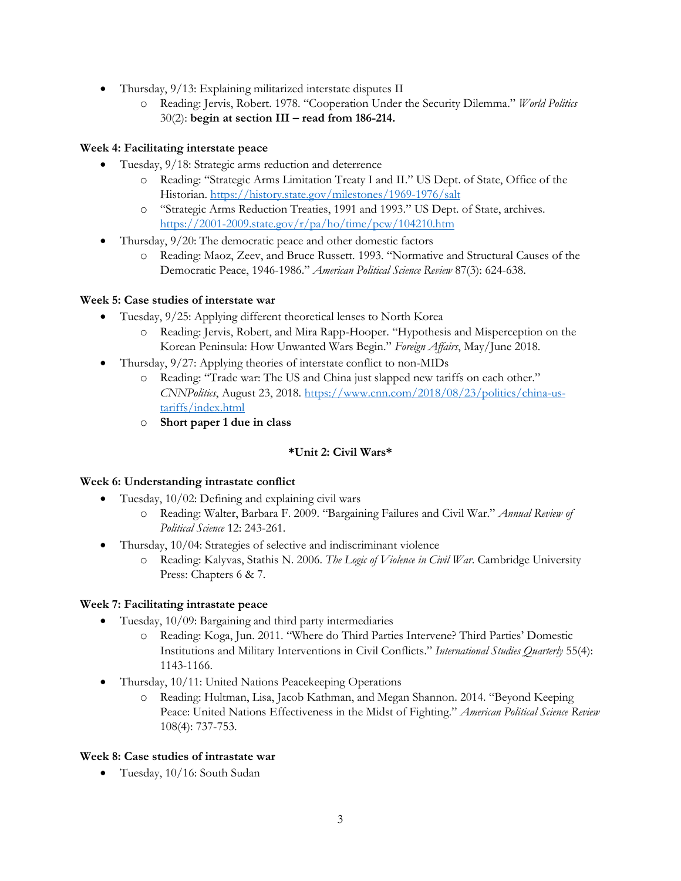- Thursday, 9/13: Explaining militarized interstate disputes II
	- o Reading: Jervis, Robert. 1978. "Cooperation Under the Security Dilemma." *World Politics* 30(2): **begin at section III – read from 186-214.**

# **Week 4: Facilitating interstate peace**

- Tuesday, 9/18: Strategic arms reduction and deterrence
	- o Reading: "Strategic Arms Limitation Treaty I and II." US Dept. of State, Office of the Historian.<https://history.state.gov/milestones/1969-1976/salt>
	- o "Strategic Arms Reduction Treaties, 1991 and 1993." US Dept. of State, archives. <https://2001-2009.state.gov/r/pa/ho/time/pcw/104210.htm>
- Thursday, 9/20: The democratic peace and other domestic factors
	- o Reading: Maoz, Zeev, and Bruce Russett. 1993. "Normative and Structural Causes of the Democratic Peace, 1946-1986." *American Political Science Review* 87(3): 624-638.

# **Week 5: Case studies of interstate war**

- Tuesday, 9/25: Applying different theoretical lenses to North Korea
	- o Reading: Jervis, Robert, and Mira Rapp-Hooper. "Hypothesis and Misperception on the Korean Peninsula: How Unwanted Wars Begin." *Foreign Affairs*, May/June 2018.
- Thursday,  $9/27$ : Applying theories of interstate conflict to non-MIDs
	- o Reading: "Trade war: The US and China just slapped new tariffs on each other." *CNNPolitics*, August 23, 2018[. https://www.cnn.com/2018/08/23/politics/china-us](https://www.cnn.com/2018/08/23/politics/china-us-tariffs/index.html)[tariffs/index.html](https://www.cnn.com/2018/08/23/politics/china-us-tariffs/index.html)
	- o **Short paper 1 due in class**

# **\*Unit 2: Civil Wars\***

### **Week 6: Understanding intrastate conflict**

- Tuesday, 10/02: Defining and explaining civil wars
	- o Reading: Walter, Barbara F. 2009. "Bargaining Failures and Civil War." *Annual Review of Political Science* 12: 243-261.
- Thursday, 10/04: Strategies of selective and indiscriminant violence
	- o Reading: Kalyvas, Stathis N. 2006. *The Logic of Violence in Civil War*. Cambridge University Press: Chapters 6 & 7.

### **Week 7: Facilitating intrastate peace**

- Tuesday, 10/09: Bargaining and third party intermediaries
	- o Reading: Koga, Jun. 2011. "Where do Third Parties Intervene? Third Parties' Domestic Institutions and Military Interventions in Civil Conflicts." *International Studies Quarterly* 55(4): 1143-1166.
- Thursday, 10/11: United Nations Peacekeeping Operations
	- o Reading: Hultman, Lisa, Jacob Kathman, and Megan Shannon. 2014. "Beyond Keeping Peace: United Nations Effectiveness in the Midst of Fighting." *American Political Science Review* 108(4): 737-753.

### **Week 8: Case studies of intrastate war**

Tuesday, 10/16: South Sudan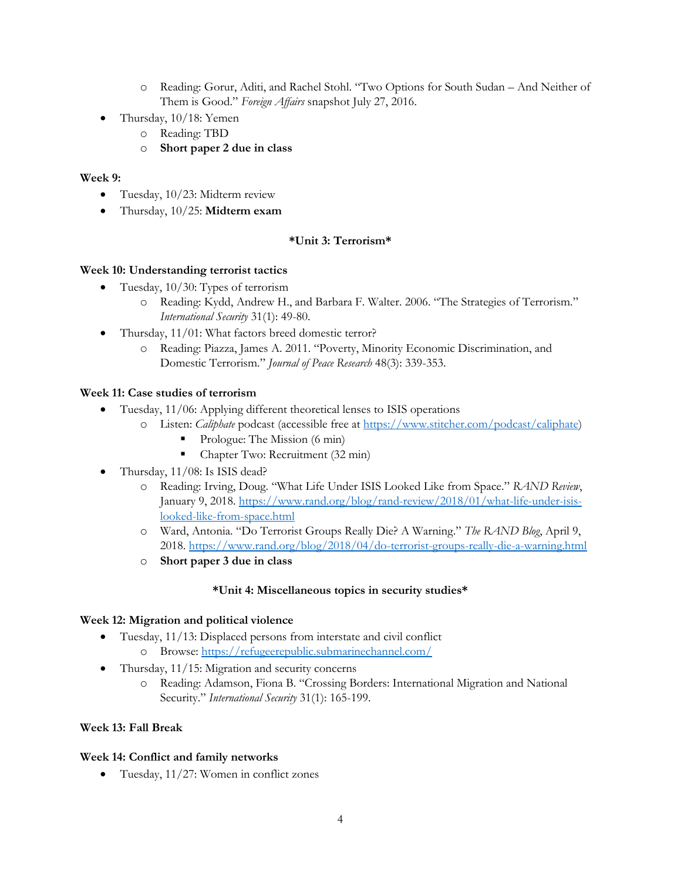- o Reading: Gorur, Aditi, and Rachel Stohl. "Two Options for South Sudan And Neither of Them is Good." *Foreign Affairs* snapshot July 27, 2016.
- Thursday, 10/18: Yemen
	- o Reading: TBD
	- o **Short paper 2 due in class**

### **Week 9:**

- Tuesday, 10/23: Midterm review
- Thursday, 10/25: **Midterm exam**

# **\*Unit 3: Terrorism\***

#### **Week 10: Understanding terrorist tactics**

- Tuesday, 10/30: Types of terrorism
	- o Reading: Kydd, Andrew H., and Barbara F. Walter. 2006. "The Strategies of Terrorism." *International Security* 31(1): 49-80.
- Thursday, 11/01: What factors breed domestic terror?
	- o Reading: Piazza, James A. 2011. "Poverty, Minority Economic Discrimination, and Domestic Terrorism." *Journal of Peace Research* 48(3): 339-353.

### **Week 11: Case studies of terrorism**

- Tuesday, 11/06: Applying different theoretical lenses to ISIS operations
	- o Listen: *Caliphate* podcast (accessible free a[t https://www.stitcher.com/podcast/caliphate\)](https://www.stitcher.com/podcast/caliphate)
		- Prologue: The Mission (6 min)
		- Chapter Two: Recruitment (32 min)
- Thursday, 11/08: Is ISIS dead?
	- o Reading: Irving, Doug. "What Life Under ISIS Looked Like from Space." *RAND Review*, January 9, 2018[. https://www.rand.org/blog/rand-review/2018/01/what-life-under-isis](https://www.rand.org/blog/rand-review/2018/01/what-life-under-isis-looked-like-from-space.html)[looked-like-from-space.html](https://www.rand.org/blog/rand-review/2018/01/what-life-under-isis-looked-like-from-space.html)
	- o Ward, Antonia. "Do Terrorist Groups Really Die? A Warning." *The RAND Blog*, April 9, 2018.<https://www.rand.org/blog/2018/04/do-terrorist-groups-really-die-a-warning.html>
	- o **Short paper 3 due in class**

### **\*Unit 4: Miscellaneous topics in security studies\***

### **Week 12: Migration and political violence**

- Tuesday, 11/13: Displaced persons from interstate and civil conflict
	- o Browse:<https://refugeerepublic.submarinechannel.com/>
- Thursday, 11/15: Migration and security concerns
	- o Reading: Adamson, Fiona B. "Crossing Borders: International Migration and National Security." *International Security* 31(1): 165-199.

### **Week 13: Fall Break**

### **Week 14: Conflict and family networks**

Tuesday, 11/27: Women in conflict zones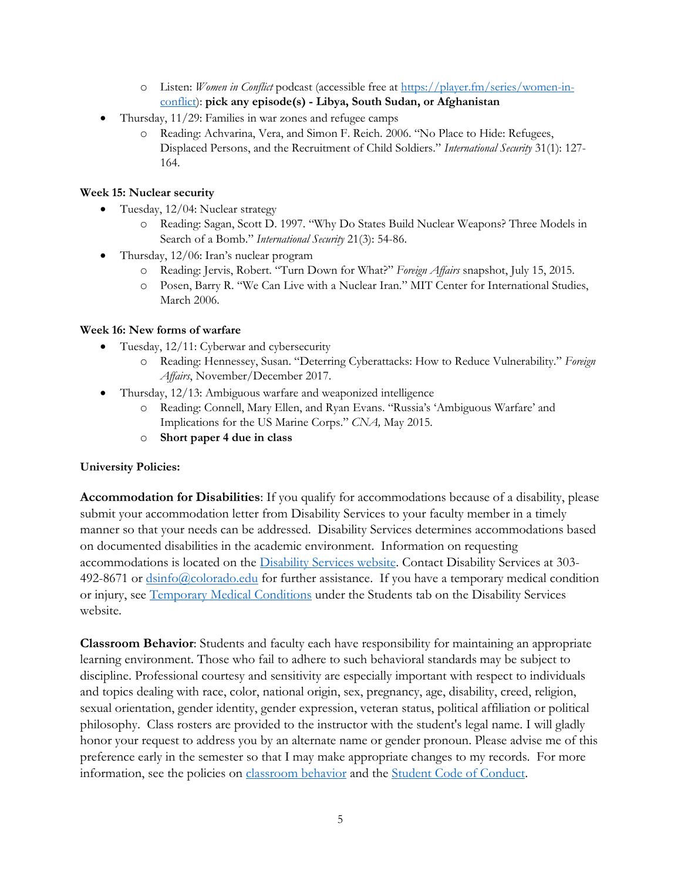- o Listen: *Women in Conflict* podcast (accessible free at [https://player.fm/series/women-in](https://player.fm/series/women-in-conflict)[conflict\)](https://player.fm/series/women-in-conflict): **pick any episode(s) - Libya, South Sudan, or Afghanistan**
- Thursday, 11/29: Families in war zones and refugee camps
	- o Reading: Achvarina, Vera, and Simon F. Reich. 2006. "No Place to Hide: Refugees, Displaced Persons, and the Recruitment of Child Soldiers." *International Security* 31(1): 127- 164.

# **Week 15: Nuclear security**

- Tuesday,  $12/04$ : Nuclear strategy
	- o Reading: Sagan, Scott D. 1997. "Why Do States Build Nuclear Weapons? Three Models in Search of a Bomb." *International Security* 21(3): 54-86.
- Thursday, 12/06: Iran's nuclear program
	- o Reading: Jervis, Robert. "Turn Down for What?" *Foreign Affairs* snapshot, July 15, 2015.
	- o Posen, Barry R. "We Can Live with a Nuclear Iran." MIT Center for International Studies, March 2006.

# **Week 16: New forms of warfare**

- Tuesday, 12/11: Cyberwar and cybersecurity
	- o Reading: Hennessey, Susan. "Deterring Cyberattacks: How to Reduce Vulnerability." *Foreign Affairs*, November/December 2017.
- Thursday, 12/13: Ambiguous warfare and weaponized intelligence
	- o Reading: Connell, Mary Ellen, and Ryan Evans. "Russia's 'Ambiguous Warfare' and Implications for the US Marine Corps." *CNA,* May 2015.
	- o **Short paper 4 due in class**

### **University Policies:**

**Accommodation for Disabilities**: If you qualify for accommodations because of a disability, please submit your accommodation letter from Disability Services to your faculty member in a timely manner so that your needs can be addressed. Disability Services determines accommodations based on documented disabilities in the academic environment. Information on requesting accommodations is located on the [Disability Services website.](http://www.colorado.edu/disabilityservices/students) Contact Disability Services at 303 492-8671 or [dsinfo@colorado.edu](mailto:dsinfo@colorado.edu) for further assistance. If you have a temporary medical condition or injury, see [Temporary Medical Conditions](http://www.colorado.edu/disabilityservices/students/temporary-medical-conditions) under the Students tab on the Disability Services website.

**Classroom Behavior**: Students and faculty each have responsibility for maintaining an appropriate learning environment. Those who fail to adhere to such behavioral standards may be subject to discipline. Professional courtesy and sensitivity are especially important with respect to individuals and topics dealing with race, color, national origin, sex, pregnancy, age, disability, creed, religion, sexual orientation, gender identity, gender expression, veteran status, political affiliation or political philosophy. Class rosters are provided to the instructor with the student's legal name. I will gladly honor your request to address you by an alternate name or gender pronoun. Please advise me of this preference early in the semester so that I may make appropriate changes to my records. For more information, see the policies on [classroom behavior](http://www.colorado.edu/policies/student-classroom-and-course-related-behavior) and the [Student Code of Conduct.](http://www.colorado.edu/osccr/)